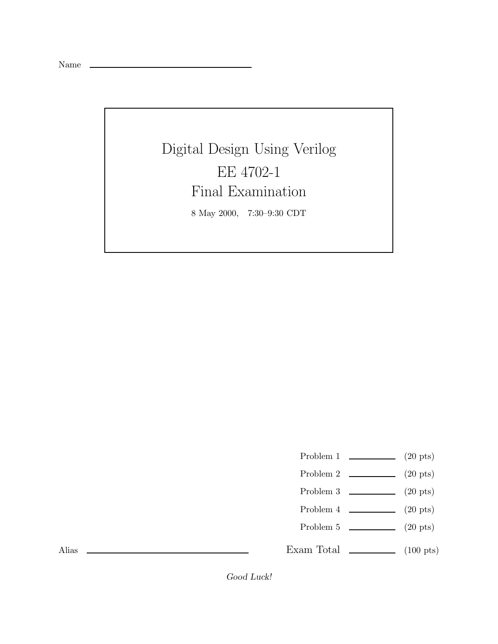Name

Digital Design Using Verilog EE 4702-1 Final Examination 8 May 2000, 7:30–9:30 CDT

- Problem 1  $\qquad \qquad (20 \text{ pts})$
- Problem 2 (20 pts)
- Problem 3 (20 pts)
- Problem 4 (20 pts)
- Problem 5 (20 pts)

Exam Total  $\qquad \qquad$  (100 pts)

Alias

*Good Luck!*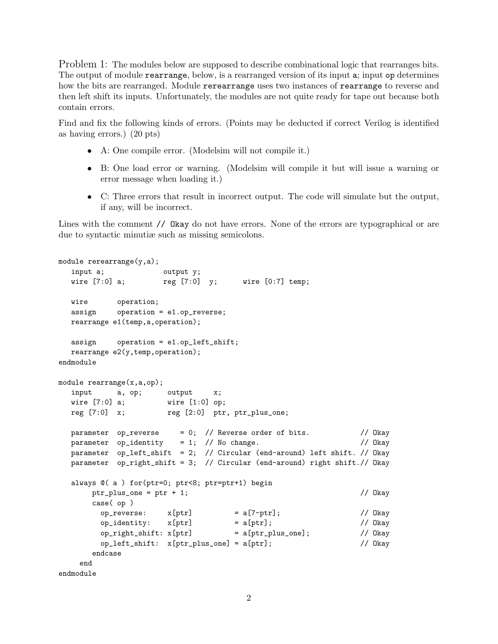Problem 1: The modules below are supposed to describe combinational logic that rearranges bits. The output of module rearrange, below, is a rearranged version of its input a; input op determines how the bits are rearranged. Module rerearrange uses two instances of rearrange to reverse and then left shift its inputs. Unfortunately, the modules are not quite ready for tape out because both contain errors.

Find and fix the following kinds of errors. (Points may be deducted if correct Verilog is identified as having errors.) (20 pts)

- A: One compile error. (Modelsim will not compile it.)
- B: One load error or warning. (Modelsim will compile it but will issue a warning or error message when loading it.)
- C: Three errors that result in incorrect output. The code will simulate but the output, if any, will be incorrect.

Lines with the comment // Okay do not have errors. None of the errors are typographical or are due to syntactic minutiæ such as missing semicolons.

```
module rerearrange(y,a);
  input a; butput y;
  wire [7:0] a; reg [7:0] y; wire [0:7] temp;
  wire operation;
  assign operation = e1.op_reverse;
  rearrange e1(temp,a,operation);
  assign operation = e1.op_left_shift;
  rearrange e2(y, temp, operation);
endmodule
module rearrange(x,a,op);
  input a, op; output x;
  wire [7:0] a; wire [1:0] op;
  reg [7:0] x; reg [2:0] ptr, ptr_plus\_one;parameter op_reverse = 0; // Reverse order of bits. // Okay
  parameter op_identity = 1; // No change. // Okay
  parameter op_left_shift = 2; // Circular (end-around) left shift. // Okay
  parameter op_right_shift = 3; // Circular (end-around) right shift.// Okay
  always @( a ) for(ptr=0; ptr<8; ptr=ptr+1) begin
      ptr_plus_one = ptr + 1; // 0kay
      case( op )
       op\_reverse: x[ptr] = a[7-ptr]; // Okay
       op_identity: x[ptr] = a[ptr]; // Okay
       op\_right\_shift: x[ptr] = a[ptr\_plus\_one]; // Okay
       op_left_shift: x[ptr_plus_one] = a[ptr]; // Okay
      endcase
    end
endmodule
```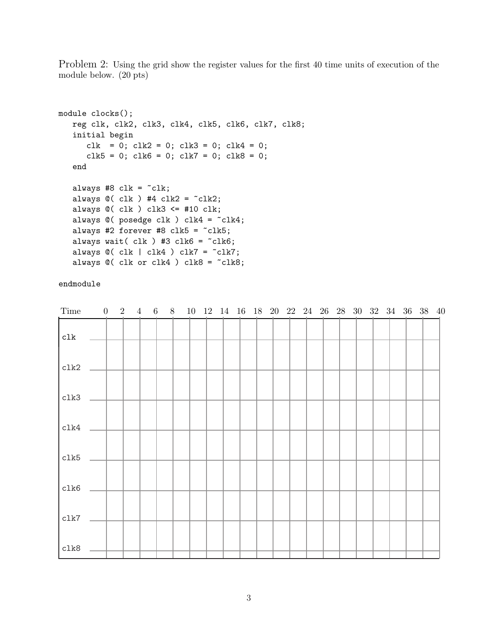Problem 2: Using the grid show the register values for the first 40 time units of execution of the module below. (20 pts)

```
module clocks();
   reg clk, clk2, clk3, clk4, clk5, clk6, clk7, clk8;
   initial begin
      clk = 0; clk2 = 0; clk3 = 0; clk4 = 0;
      clk5 = 0; clk6 = 0; clk7 = 0; clk8 = 0;
   end
   always #8 clk = \text{K};
   always \mathbb{O}(\text{clk}) #4 clk2 = \text{ck2};always @( clk ) clk3 <= #10 clk;
   always @( posedge clk ) clk4 = "clk4;
   always #2 forever #8 clk5 = clk5;
   always wait( clk ) #3 clk6 = clk6;
   always @( clk | clk4 ) clk7 = clk7;always @( clk or clk4 ) clk8 = "clk8;
```

| Time       |  | $0 \quad 2 \quad 4$ | 6 8 |  |  |  |  |  | 10 12 14 16 18 20 22 24 26 28 30 32 34 36 38 40 |  |  |  |  |
|------------|--|---------------------|-----|--|--|--|--|--|-------------------------------------------------|--|--|--|--|
| c1k        |  |                     |     |  |  |  |  |  |                                                 |  |  |  |  |
| clk2       |  |                     |     |  |  |  |  |  |                                                 |  |  |  |  |
| clk3       |  |                     |     |  |  |  |  |  |                                                 |  |  |  |  |
| $c$ lk $4$ |  |                     |     |  |  |  |  |  |                                                 |  |  |  |  |
| clk5       |  |                     |     |  |  |  |  |  |                                                 |  |  |  |  |
| clk6       |  |                     |     |  |  |  |  |  |                                                 |  |  |  |  |
| clk7       |  |                     |     |  |  |  |  |  |                                                 |  |  |  |  |
| clk8       |  |                     |     |  |  |  |  |  |                                                 |  |  |  |  |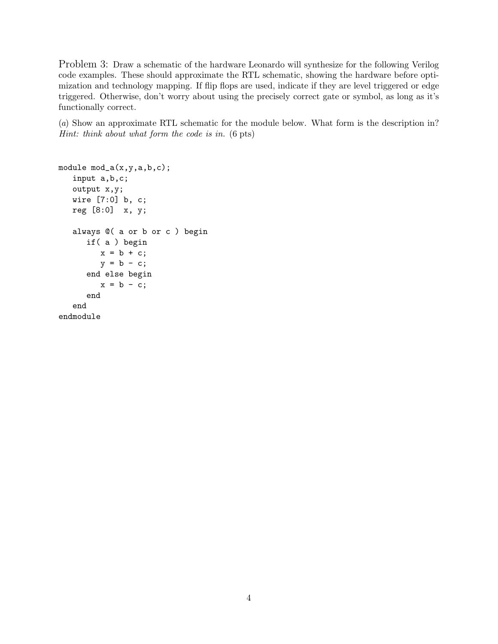Problem 3: Draw a schematic of the hardware Leonardo will synthesize for the following Verilog code examples. These should approximate the RTL schematic, showing the hardware before optimization and technology mapping. If flip flops are used, indicate if they are level triggered or edge triggered. Otherwise, don't worry about using the precisely correct gate or symbol, as long as it's functionally correct.

(a) Show an approximate RTL schematic for the module below. What form is the description in? Hint: think about what form the code is in. (6 pts)

```
module mod_a(x,y,a,b,c);
   input a,b,c;
   output x,y;
   wire [7:0] b, c;
   reg [8:0] x, y;
   always @( a or b or c ) begin
      if( a ) begin
         x = b + c;y = b - c;end else begin
         x = b - c;end
   end
endmodule
```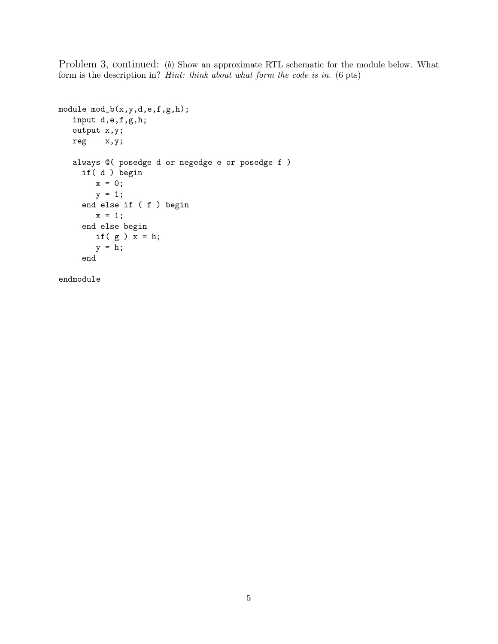Problem 3, continued: (b) Show an approximate RTL schematic for the module below. What form is the description in? Hint: think about what form the code is in. (6 pts)

```
module mod_b(x,y,d,e,f,g,h);
  input d,e,f,g,h;
  output x,y;
  reg x,y;
  always @( posedge d or negedge e or posedge f )
    if( d ) begin
       x = 0;y = 1;end else if ( f ) begin
       x = 1;end else begin
       if(g) x = h;
       y = h;end
```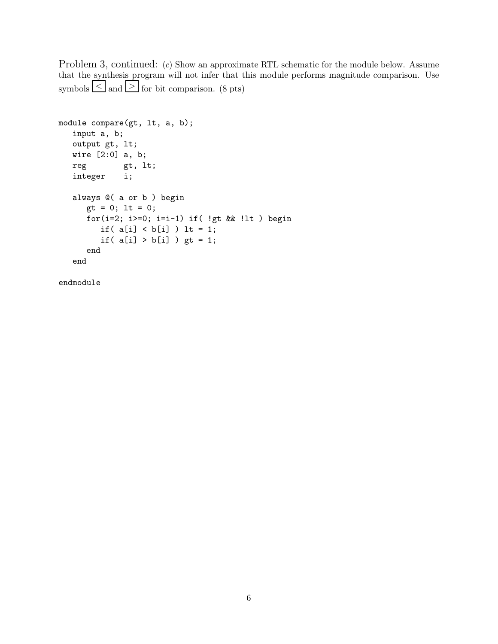Problem 3, continued: (c) Show an approximate RTL schematic for the module below. Assume that the synthesis program will not infer that this module performs magnitude comparison. Use symbols  $\leq$  and  $\geq$  for bit comparison. (8 pts)

```
module compare(gt, lt, a, b);
  input a, b;
  output gt, lt;
  wire [2:0] a, b;
  reg gt, lt;
  integer i;
  always @( a or b ) begin
     gt = 0; lt = 0;
     for(i=2; i>=0; i=i-1) if( !gt && !lt) begin
        if(a[i] < b[i]) lt = 1;
        if( a[i] > b[i] ) gt = 1;
     end
   end
```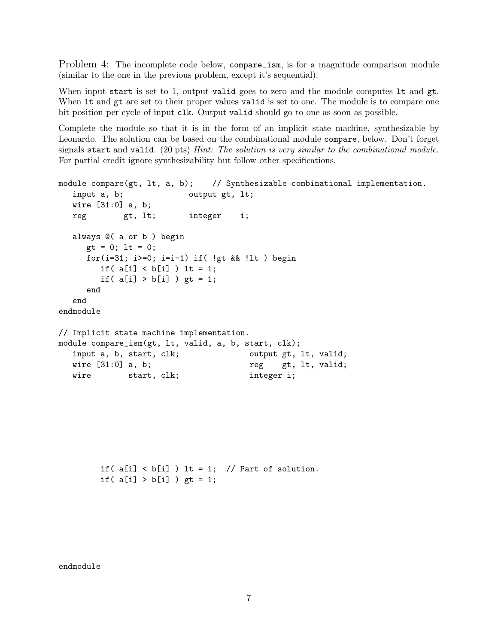Problem 4: The incomplete code below, compare\_ism, is for a magnitude comparison module (similar to the one in the previous problem, except it's sequential).

When input start is set to 1, output valid goes to zero and the module computes 1t and gt. When  $It$  and  $gt$  are set to their proper values valid is set to one. The module is to compare one bit position per cycle of input clk. Output valid should go to one as soon as possible.

Complete the module so that it is in the form of an implicit state machine, synthesizable by Leonardo. The solution can be based on the combinational module compare, below. Don't forget signals start and valid. (20 pts) Hint: The solution is very similar to the combinational module. For partial credit ignore synthesizability but follow other specifications.

```
module compare(gt, lt, a, b); // Synthesizable combinational implementation.
  input a, b; b output gt, lt;
  wire [31:0] a, b;
  reg gt, lt; integer i;
  always @( a or b ) begin
     gt = 0; lt = 0;
     for(i=31; i>=0; i=i-1) if( !gt && !lt) begin
       if(a[i] < b[i]) lt = 1;
       if( a[i] > b[i] ) gt = 1;
     end
  end
endmodule
// Implicit state machine implementation.
module compare_ism(gt, lt, valid, a, b, start, clk);
  input a, b, start, clk; b output gt, lt, valid;
  wire [31:0] a, b; https://wire gt, 1t, valid;
  wire start, clk; integer i;
```
if( $a[i] < b[i]$ ) lt = 1; // Part of solution. if(  $a[i] > b[i]$  ) gt = 1;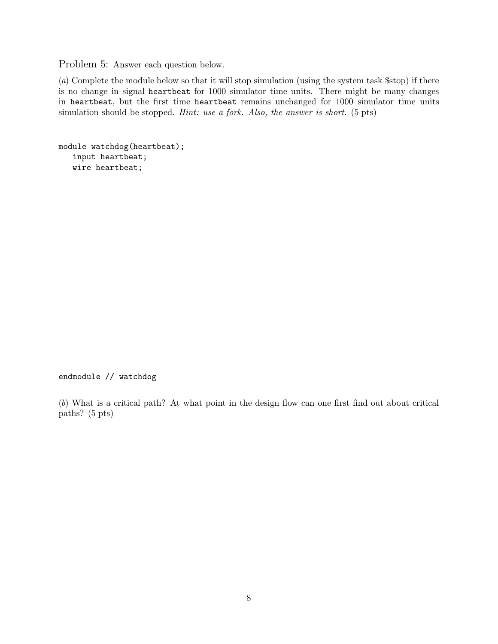Problem 5: Answer each question below.

(a) Complete the module below so that it will stop simulation (using the system task \$stop) if there is no change in signal heartbeat for 1000 simulator time units. There might be many changes in heartbeat, but the first time heartbeat remains unchanged for 1000 simulator time units simulation should be stopped. *Hint: use a fork. Also, the answer is short.* (5 pts)

```
module watchdog(heartbeat);
   input heartbeat;
   wire heartbeat;
```
## endmodule // watchdog

(b) What is a critical path? At what point in the design flow can one first find out about critical paths? (5 pts)